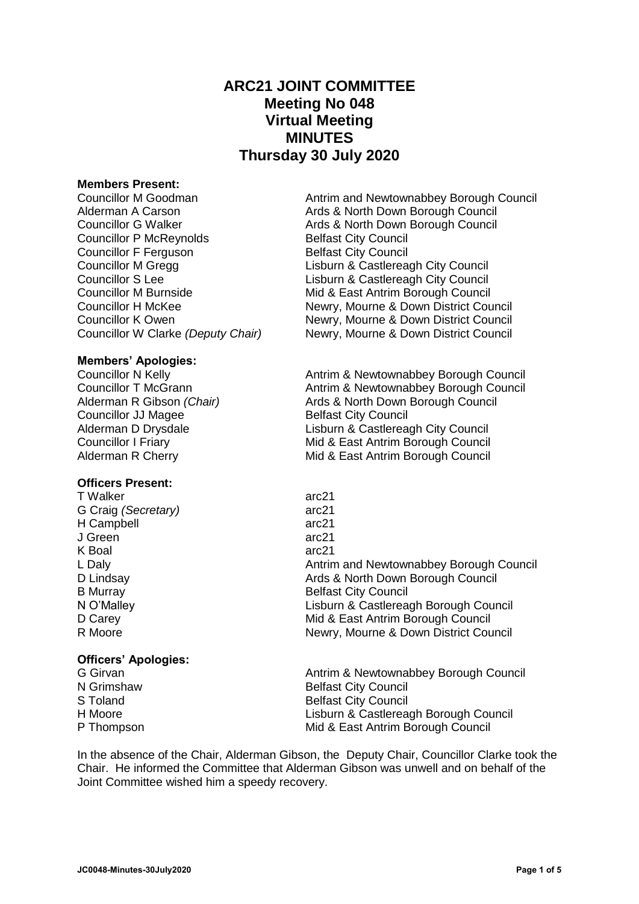# **ARC21 JOINT COMMITTEE Meeting No 048 Virtual Meeting MINUTES Thursday 30 July 2020**

#### **Members Present:**

Councillor P McReynolds Belfast City Council Councillor F Ferguson Belfast City Council

#### **Members' Apologies:**

**Councillor JJ Magee Belfast City Council** 

#### **Officers Present:**

T Walker arc21 G Craig *(Secretary)* arc21 H Campbell arc21 J Green arc21 K Boal arc21

# **Officers' Apologies:**

| G Girvan   | Antrim & Newtownabbey Borough Council |
|------------|---------------------------------------|
| N Grimshaw | <b>Belfast City Council</b>           |
| S Toland   | <b>Belfast City Council</b>           |
| H Moore    | Lisburn & Castlereagh Borough Council |
| P Thompson | Mid & East Antrim Borough Council     |
|            |                                       |

In the absence of the Chair, Alderman Gibson, the Deputy Chair, Councillor Clarke took the Chair. He informed the Committee that Alderman Gibson was unwell and on behalf of the Joint Committee wished him a speedy recovery.

Councillor M Goodman **Antrim and Newtownabbey Borough Council** Alderman A Carson Ards & North Down Borough Council Councillor G Walker **Ards & North Down Borough Council** Councillor M Gregg Councillor M Gregg Lisburn & Castlereagh City Council<br>
Lisburn & Castlereagh City Council<br>
Lisburn & Castlereagh City Council Lisburn & Castlereagh City Council Councillor M Burnside **Mickey Councillor M Burnside** Mid & East Antrim Borough Council Councillor H McKee Newry, Mourne & Down District Council Councillor K Owen Newry, Mourne & Down District Council Councillor W Clarke *(Deputy Chair)* Newry, Mourne & Down District Council

Councillor N Kelly **Councillor N** Kelly **Antrim & Newtownabbey Borough Council** Councillor T McGrann **Antrim & Newtownabbey Borough Council** Alderman R Gibson *(Chair)* Ards & North Down Borough Council Alderman D Drysdale **Lisburn & Castlereagh City Council** Councillor I Friary **Mid & East Antrim Borough Council** Alderman R Cherry **Mid & East Antrim Borough Council** 

L Daly Antrim and Newtownabbey Borough Council D Lindsay **Ards & North Down Borough Council** Pulled Ards & North Down Borough Council B Murray Belfast City Council N O'Malley Lisburn & Castlereagh Borough Council D Carey **D** Carey **Mid & East Antrim Borough Council** R Moore Newry, Mourne & Down District Council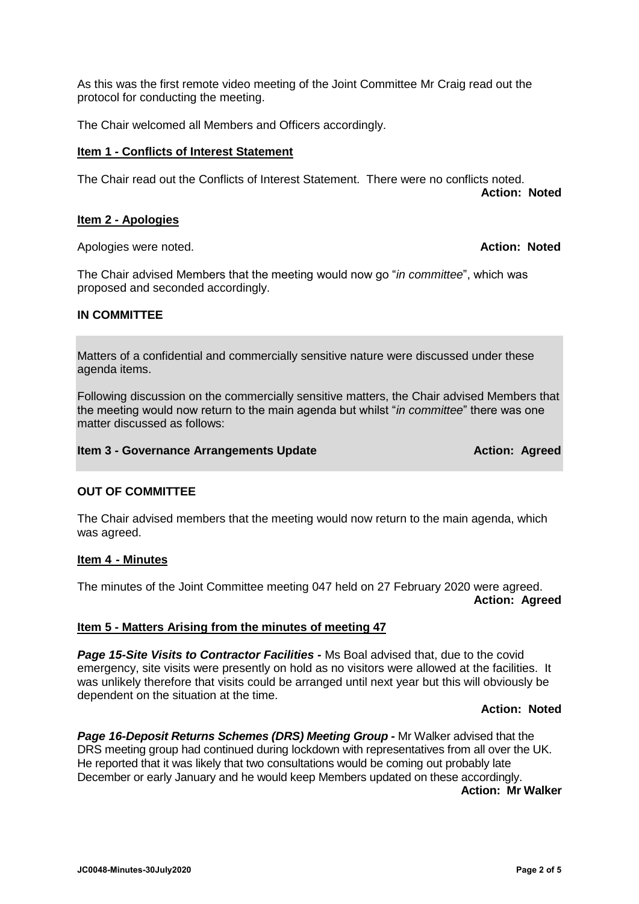As this was the first remote video meeting of the Joint Committee Mr Craig read out the protocol for conducting the meeting.

The Chair welcomed all Members and Officers accordingly.

### **Item 1 - Conflicts of Interest Statement**

The Chair read out the Conflicts of Interest Statement. There were no conflicts noted. **Action: Noted**

# **Item 2 - Apologies**

Apologies were noted. **Action: Noted**

The Chair advised Members that the meeting would now go "*in committee*", which was proposed and seconded accordingly.

# **IN COMMITTEE**

Matters of a confidential and commercially sensitive nature were discussed under these agenda items.

Following discussion on the commercially sensitive matters, the Chair advised Members that the meeting would now return to the main agenda but whilst "*in committee*" there was one matter discussed as follows:

### **Item 3 - Governance Arrangements Update Action: Agreed** Action: Agreed

# **OUT OF COMMITTEE**

The Chair advised members that the meeting would now return to the main agenda, which was agreed.

#### **Item 4 - Minutes**

The minutes of the Joint Committee meeting 047 held on 27 February 2020 were agreed. **Action: Agreed**

# **Item 5 - Matters Arising from the minutes of meeting 47**

**Page 15-Site Visits to Contractor Facilities - Ms Boal advised that, due to the covid** emergency, site visits were presently on hold as no visitors were allowed at the facilities. It was unlikely therefore that visits could be arranged until next year but this will obviously be dependent on the situation at the time.

#### **Action: Noted**

*Page 16-Deposit Returns Schemes (DRS) Meeting Group -* Mr Walker advised that the DRS meeting group had continued during lockdown with representatives from all over the UK. He reported that it was likely that two consultations would be coming out probably late December or early January and he would keep Members updated on these accordingly. **Action: Mr Walker**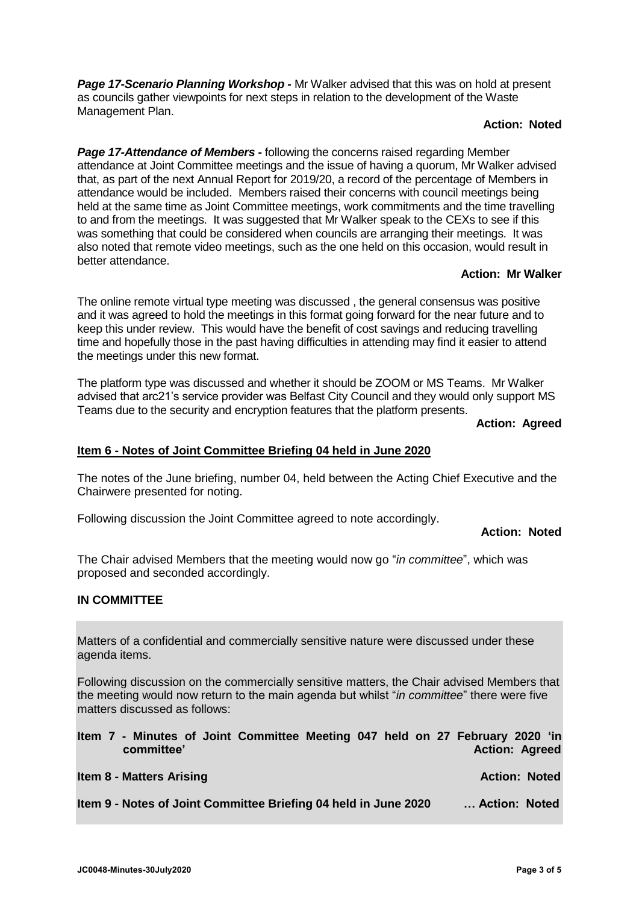*Page 17-Scenario Planning Workshop -* Mr Walker advised that this was on hold at present as councils gather viewpoints for next steps in relation to the development of the Waste Management Plan.

# **Action: Noted**

*Page 17-Attendance of Members -* following the concerns raised regarding Member attendance at Joint Committee meetings and the issue of having a quorum, Mr Walker advised that, as part of the next Annual Report for 2019/20, a record of the percentage of Members in attendance would be included. Members raised their concerns with council meetings being held at the same time as Joint Committee meetings, work commitments and the time travelling to and from the meetings. It was suggested that Mr Walker speak to the CEXs to see if this was something that could be considered when councils are arranging their meetings. It was also noted that remote video meetings, such as the one held on this occasion, would result in better attendance.

# **Action: Mr Walker**

The online remote virtual type meeting was discussed , the general consensus was positive and it was agreed to hold the meetings in this format going forward for the near future and to keep this under review. This would have the benefit of cost savings and reducing travelling time and hopefully those in the past having difficulties in attending may find it easier to attend the meetings under this new format.

The platform type was discussed and whether it should be ZOOM or MS Teams. Mr Walker advised that arc21's service provider was Belfast City Council and they would only support MS Teams due to the security and encryption features that the platform presents.

**Action: Agreed**

# **Item 6 - Notes of Joint Committee Briefing 04 held in June 2020**

The notes of the June briefing, number 04, held between the Acting Chief Executive and the Chairwere presented for noting.

Following discussion the Joint Committee agreed to note accordingly.

#### **Action: Noted**

The Chair advised Members that the meeting would now go "*in committee*", which was proposed and seconded accordingly.

#### **IN COMMITTEE**

Matters of a confidential and commercially sensitive nature were discussed under these agenda items.

Following discussion on the commercially sensitive matters, the Chair advised Members that the meeting would now return to the main agenda but whilst "*in committee*" there were five matters discussed as follows:

| Item 7 - Minutes of Joint Committee Meeting 047 held on 27 February 2020 'in<br>committee' | <b>Action: Agreed</b> |
|--------------------------------------------------------------------------------------------|-----------------------|
| <b>Item 8 - Matters Arising</b>                                                            | <b>Action: Noted</b>  |
| Item 9 - Notes of Joint Committee Briefing 04 held in June 2020                            | Action: Noted         |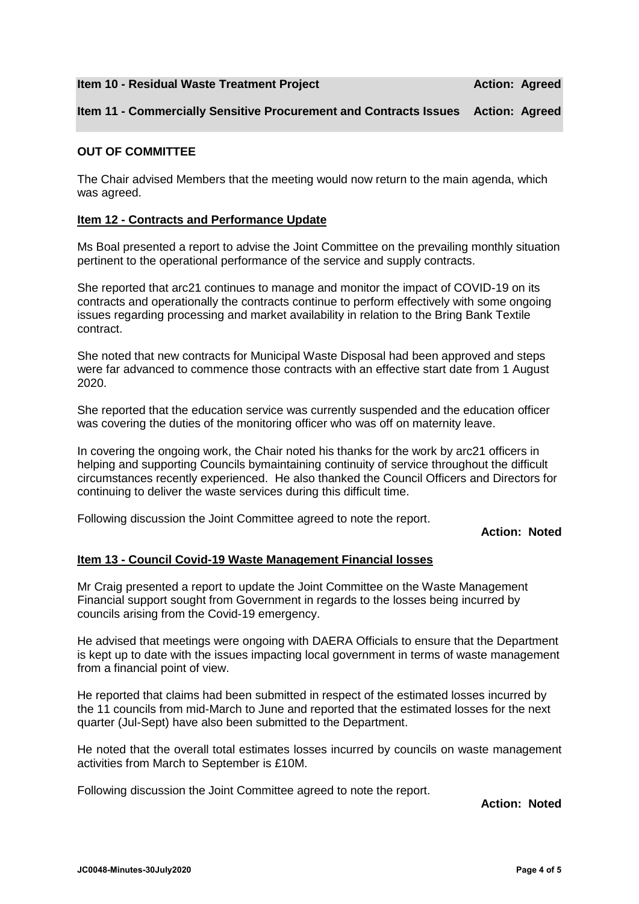**Item 10 - Residual Waste Treatment Project Action: Agreed**

# **Item 11 - Commercially Sensitive Procurement and Contracts Issues Action: Agreed**

# **OUT OF COMMITTEE**

The Chair advised Members that the meeting would now return to the main agenda, which was agreed.

#### **Item 12 - Contracts and Performance Update**

Ms Boal presented a report to advise the Joint Committee on the prevailing monthly situation pertinent to the operational performance of the service and supply contracts.

She reported that arc21 continues to manage and monitor the impact of COVID-19 on its contracts and operationally the contracts continue to perform effectively with some ongoing issues regarding processing and market availability in relation to the Bring Bank Textile contract.

She noted that new contracts for Municipal Waste Disposal had been approved and steps were far advanced to commence those contracts with an effective start date from 1 August 2020.

She reported that the education service was currently suspended and the education officer was covering the duties of the monitoring officer who was off on maternity leave.

In covering the ongoing work, the Chair noted his thanks for the work by arc21 officers in helping and supporting Councils bymaintaining continuity of service throughout the difficult circumstances recently experienced. He also thanked the Council Officers and Directors for continuing to deliver the waste services during this difficult time.

Following discussion the Joint Committee agreed to note the report.

#### **Action: Noted**

#### **Item 13 - Council Covid-19 Waste Management Financial losses**

Mr Craig presented a report to update the Joint Committee on the Waste Management Financial support sought from Government in regards to the losses being incurred by councils arising from the Covid-19 emergency.

He advised that meetings were ongoing with DAERA Officials to ensure that the Department is kept up to date with the issues impacting local government in terms of waste management from a financial point of view.

He reported that claims had been submitted in respect of the estimated losses incurred by the 11 councils from mid-March to June and reported that the estimated losses for the next quarter (Jul-Sept) have also been submitted to the Department.

He noted that the overall total estimates losses incurred by councils on waste management activities from March to September is £10M.

Following discussion the Joint Committee agreed to note the report.

**Action: Noted**